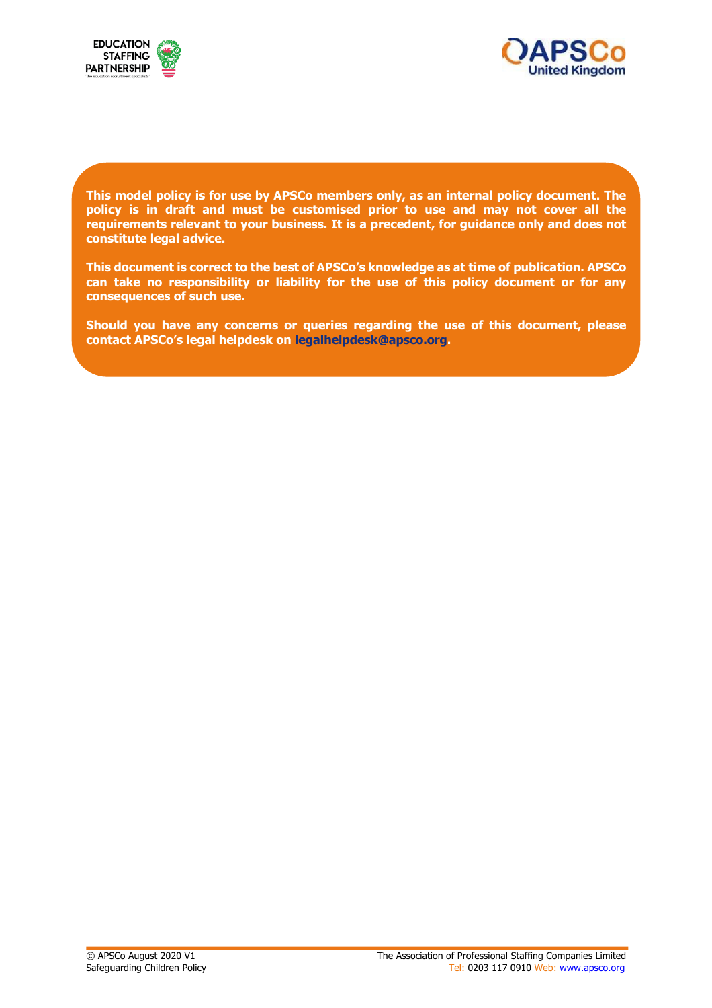



**This model policy is for use by APSCo members only, as an internal policy document. The policy is in draft and must be customised prior to use and may not cover all the requirements relevant to your business. It is a precedent, for guidance only and does not constitute legal advice.**

**This document is correct to the best of APSCo's knowledge as at time of publication. APSCo can take no responsibility or liability for the use of this policy document or for any consequences of such use.**

**Should you have any concerns or queries regarding the use of this document, please contact APSCo's legal helpdesk on legalhelpdesk@apsco.org.**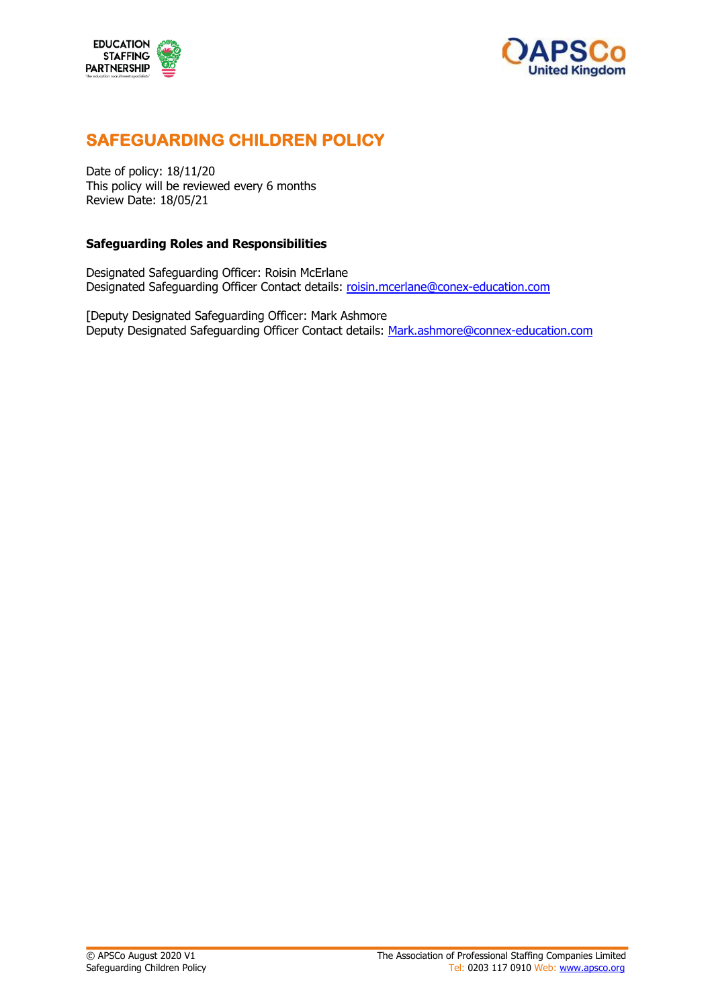



# **SAFEGUARDING CHILDREN POLICY**

Date of policy: 18/11/20 This policy will be reviewed every 6 months Review Date: 18/05/21

#### **Safeguarding Roles and Responsibilities**

Designated Safeguarding Officer: Roisin McErlane Designated Safeguarding Officer Contact details: roisin.mcerlane@conex-education.com

[Deputy Designated Safeguarding Officer: Mark Ashmore Deputy Designated Safeguarding Officer Contact details: Mark.ashmore@connex-education.com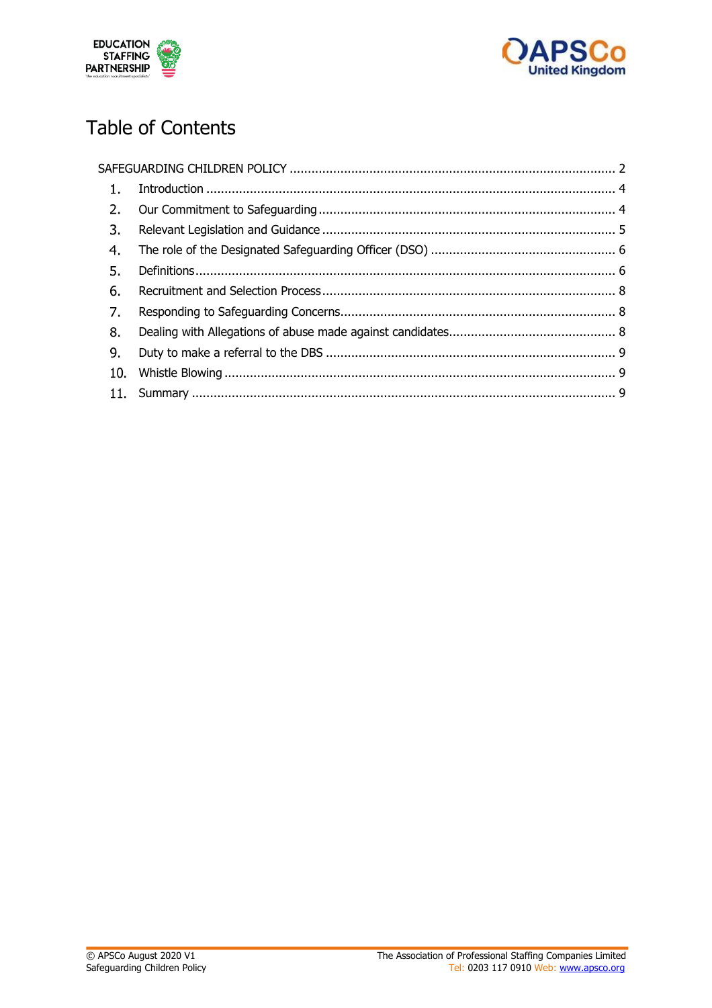



# Table of Contents

| 1.   |  |
|------|--|
| 2.   |  |
| 3.   |  |
| 4.   |  |
| 5.   |  |
| 6.   |  |
| - 7. |  |
| 8.   |  |
| 9.   |  |
| 10.  |  |
|      |  |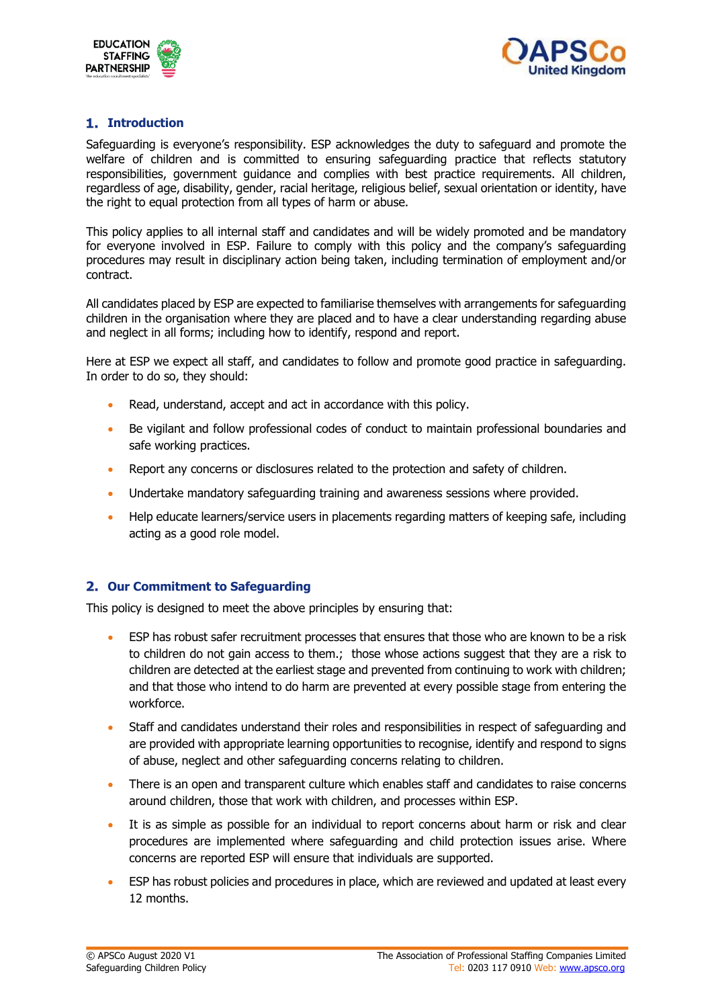



# **Introduction**

Safeguarding is everyone's responsibility. ESP acknowledges the duty to safeguard and promote the welfare of children and is committed to ensuring safeguarding practice that reflects statutory responsibilities, government guidance and complies with best practice requirements. All children, regardless of age, disability, gender, racial heritage, religious belief, sexual orientation or identity, have the right to equal protection from all types of harm or abuse.

This policy applies to all internal staff and candidates and will be widely promoted and be mandatory for everyone involved in ESP. Failure to comply with this policy and the company's safeguarding procedures may result in disciplinary action being taken, including termination of employment and/or contract.

All candidates placed by ESP are expected to familiarise themselves with arrangements for safeguarding children in the organisation where they are placed and to have a clear understanding regarding abuse and neglect in all forms; including how to identify, respond and report.

Here at ESP we expect all staff, and candidates to follow and promote good practice in safeguarding. In order to do so, they should:

- Read, understand, accept and act in accordance with this policy.
- Be vigilant and follow professional codes of conduct to maintain professional boundaries and safe working practices.
- Report any concerns or disclosures related to the protection and safety of children.
- Undertake mandatory safeguarding training and awareness sessions where provided.
- Help educate learners/service users in placements regarding matters of keeping safe, including acting as a good role model.

# **Our Commitment to Safeguarding**

This policy is designed to meet the above principles by ensuring that:

- ESP has robust safer recruitment processes that ensures that those who are known to be a risk to children do not gain access to them.; those whose actions suggest that they are a risk to children are detected at the earliest stage and prevented from continuing to work with children; and that those who intend to do harm are prevented at every possible stage from entering the workforce.
- Staff and candidates understand their roles and responsibilities in respect of safeguarding and are provided with appropriate learning opportunities to recognise, identify and respond to signs of abuse, neglect and other safeguarding concerns relating to children.
- There is an open and transparent culture which enables staff and candidates to raise concerns around children, those that work with children, and processes within ESP.
- It is as simple as possible for an individual to report concerns about harm or risk and clear procedures are implemented where safeguarding and child protection issues arise. Where concerns are reported ESP will ensure that individuals are supported.
- ESP has robust policies and procedures in place, which are reviewed and updated at least every 12 months.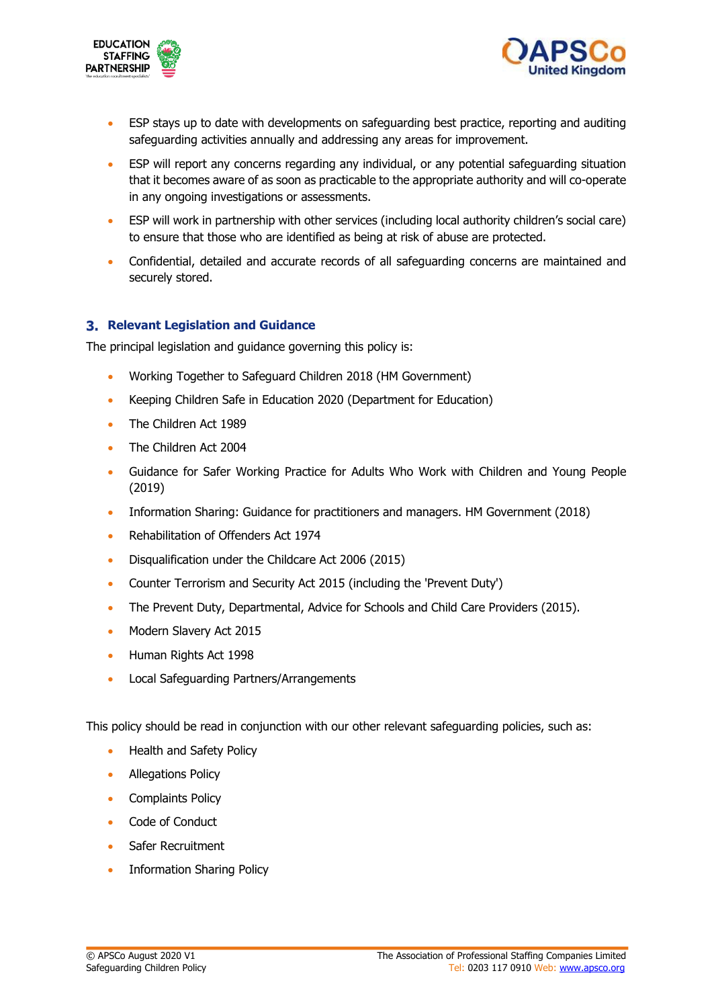



- ESP stays up to date with developments on safeguarding best practice, reporting and auditing safeguarding activities annually and addressing any areas for improvement.
- ESP will report any concerns regarding any individual, or any potential safeguarding situation that it becomes aware of as soon as practicable to the appropriate authority and will co-operate in any ongoing investigations or assessments.
- ESP will work in partnership with other services (including local authority children's social care) to ensure that those who are identified as being at risk of abuse are protected.
- Confidential, detailed and accurate records of all safeguarding concerns are maintained and securely stored.

# **Relevant Legislation and Guidance**

The principal legislation and guidance governing this policy is:

- Working Together to Safeguard Children 2018 (HM Government)
- Keeping Children Safe in Education 2020 (Department for Education)
- The Children Act 1989
- The Children Act 2004
- Guidance for Safer Working Practice for Adults Who Work with Children and Young People (2019)
- Information Sharing: Guidance for practitioners and managers. HM Government (2018)
- Rehabilitation of Offenders Act 1974
- Disqualification under the Childcare Act 2006 (2015)
- Counter Terrorism and Security Act 2015 (including the 'Prevent Duty')
- The Prevent Duty, Departmental, Advice for Schools and Child Care Providers (2015).
- Modern Slavery Act 2015
- Human Rights Act 1998
- Local Safeguarding Partners/Arrangements

This policy should be read in conjunction with our other relevant safeguarding policies, such as:

- Health and Safety Policy
- Allegations Policy
- Complaints Policy
- Code of Conduct
- Safer Recruitment
- Information Sharing Policy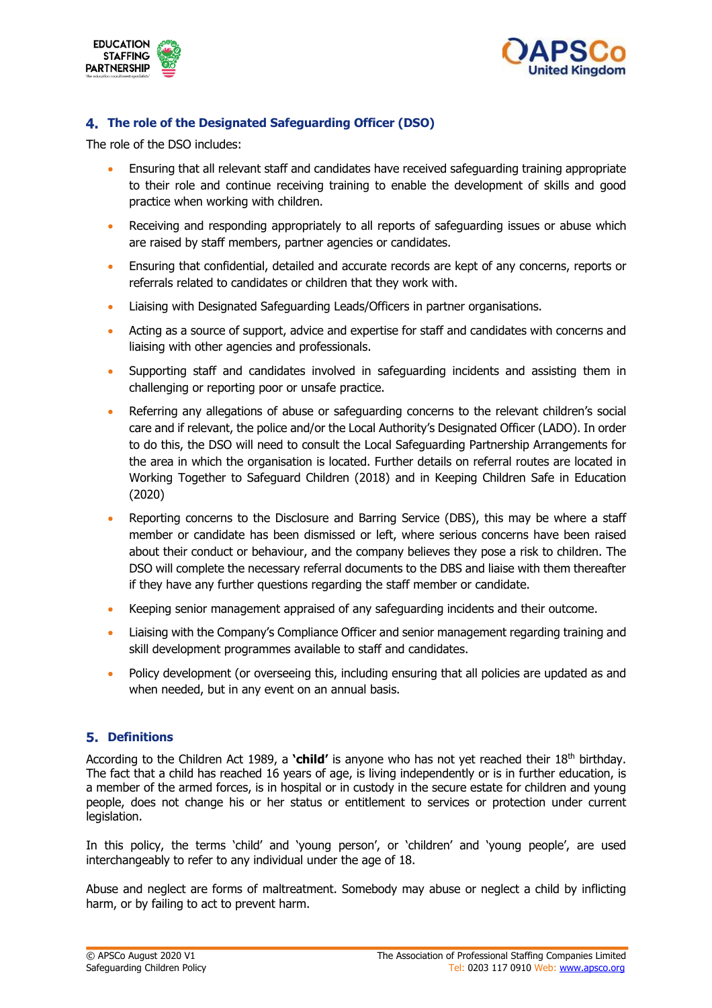



# **The role of the Designated Safeguarding Officer (DSO)**

The role of the DSO includes:

- Ensuring that all relevant staff and candidates have received safeguarding training appropriate to their role and continue receiving training to enable the development of skills and good practice when working with children.
- Receiving and responding appropriately to all reports of safeguarding issues or abuse which are raised by staff members, partner agencies or candidates.
- Ensuring that confidential, detailed and accurate records are kept of any concerns, reports or referrals related to candidates or children that they work with.
- Liaising with Designated Safeguarding Leads/Officers in partner organisations.
- Acting as a source of support, advice and expertise for staff and candidates with concerns and liaising with other agencies and professionals.
- Supporting staff and candidates involved in safeguarding incidents and assisting them in challenging or reporting poor or unsafe practice.
- Referring any allegations of abuse or safeguarding concerns to the relevant children's social care and if relevant, the police and/or the Local Authority's Designated Officer (LADO). In order to do this, the DSO will need to consult the Local Safeguarding Partnership Arrangements for the area in which the organisation is located. Further details on referral routes are located in Working Together to Safeguard Children (2018) and in Keeping Children Safe in Education (2020)
- Reporting concerns to the Disclosure and Barring Service (DBS), this may be where a staff member or candidate has been dismissed or left, where serious concerns have been raised about their conduct or behaviour, and the company believes they pose a risk to children. The DSO will complete the necessary referral documents to the DBS and liaise with them thereafter if they have any further questions regarding the staff member or candidate.
- Keeping senior management appraised of any safeguarding incidents and their outcome.
- Liaising with the Company's Compliance Officer and senior management regarding training and skill development programmes available to staff and candidates.
- Policy development (or overseeing this, including ensuring that all policies are updated as and when needed, but in any event on an annual basis.

# **Definitions**

According to the Children Act 1989, a **'child'** is anyone who has not yet reached their 18th birthday. The fact that a child has reached 16 years of age, is living independently or is in further education, is a member of the armed forces, is in hospital or in custody in the secure estate for children and young people, does not change his or her status or entitlement to services or protection under current legislation.

In this policy, the terms 'child' and 'young person', or 'children' and 'young people', are used interchangeably to refer to any individual under the age of 18.

Abuse and neglect are forms of maltreatment. Somebody may abuse or neglect a child by inflicting harm, or by failing to act to prevent harm.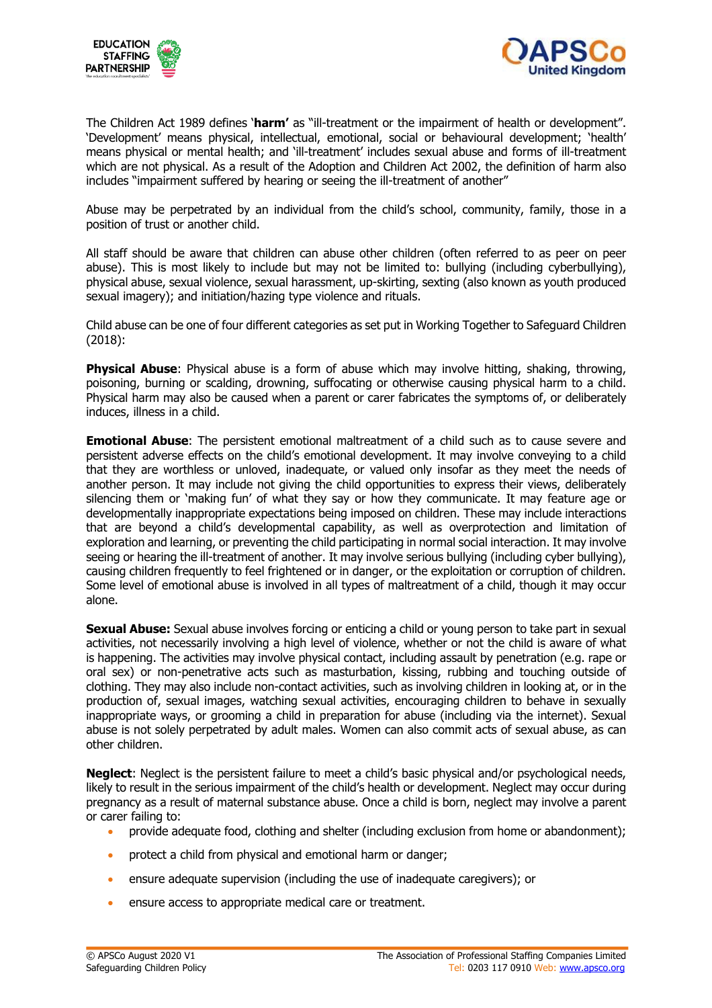



The Children Act 1989 defines '**harm'** as "ill-treatment or the impairment of health or development". 'Development' means physical, intellectual, emotional, social or behavioural development; 'health' means physical or mental health; and 'ill-treatment' includes sexual abuse and forms of ill-treatment which are not physical. As a result of the Adoption and Children Act 2002, the definition of harm also includes "impairment suffered by hearing or seeing the ill-treatment of another"

Abuse may be perpetrated by an individual from the child's school, community, family, those in a position of trust or another child.

All staff should be aware that children can abuse other children (often referred to as peer on peer abuse). This is most likely to include but may not be limited to: bullying (including cyberbullying), physical abuse, sexual violence, sexual harassment, up-skirting, sexting (also known as youth produced sexual imagery); and initiation/hazing type violence and rituals.

Child abuse can be one of four different categories as set put in Working Together to Safeguard Children (2018):

**Physical Abuse**: Physical abuse is a form of abuse which may involve hitting, shaking, throwing, poisoning, burning or scalding, drowning, suffocating or otherwise causing physical harm to a child. Physical harm may also be caused when a parent or carer fabricates the symptoms of, or deliberately induces, illness in a child.

**Emotional Abuse**: The persistent emotional maltreatment of a child such as to cause severe and persistent adverse effects on the child's emotional development. It may involve conveying to a child that they are worthless or unloved, inadequate, or valued only insofar as they meet the needs of another person. It may include not giving the child opportunities to express their views, deliberately silencing them or 'making fun' of what they say or how they communicate. It may feature age or developmentally inappropriate expectations being imposed on children. These may include interactions that are beyond a child's developmental capability, as well as overprotection and limitation of exploration and learning, or preventing the child participating in normal social interaction. It may involve seeing or hearing the ill-treatment of another. It may involve serious bullying (including cyber bullying), causing children frequently to feel frightened or in danger, or the exploitation or corruption of children. Some level of emotional abuse is involved in all types of maltreatment of a child, though it may occur alone.

**Sexual Abuse:** Sexual abuse involves forcing or enticing a child or young person to take part in sexual activities, not necessarily involving a high level of violence, whether or not the child is aware of what is happening. The activities may involve physical contact, including assault by penetration (e.g. rape or oral sex) or non-penetrative acts such as masturbation, kissing, rubbing and touching outside of clothing. They may also include non-contact activities, such as involving children in looking at, or in the production of, sexual images, watching sexual activities, encouraging children to behave in sexually inappropriate ways, or grooming a child in preparation for abuse (including via the internet). Sexual abuse is not solely perpetrated by adult males. Women can also commit acts of sexual abuse, as can other children.

**Neglect:** Neglect is the persistent failure to meet a child's basic physical and/or psychological needs, likely to result in the serious impairment of the child's health or development. Neglect may occur during pregnancy as a result of maternal substance abuse. Once a child is born, neglect may involve a parent or carer failing to:

- provide adequate food, clothing and shelter (including exclusion from home or abandonment);
- protect a child from physical and emotional harm or danger;
- ensure adequate supervision (including the use of inadequate caregivers); or
- ensure access to appropriate medical care or treatment.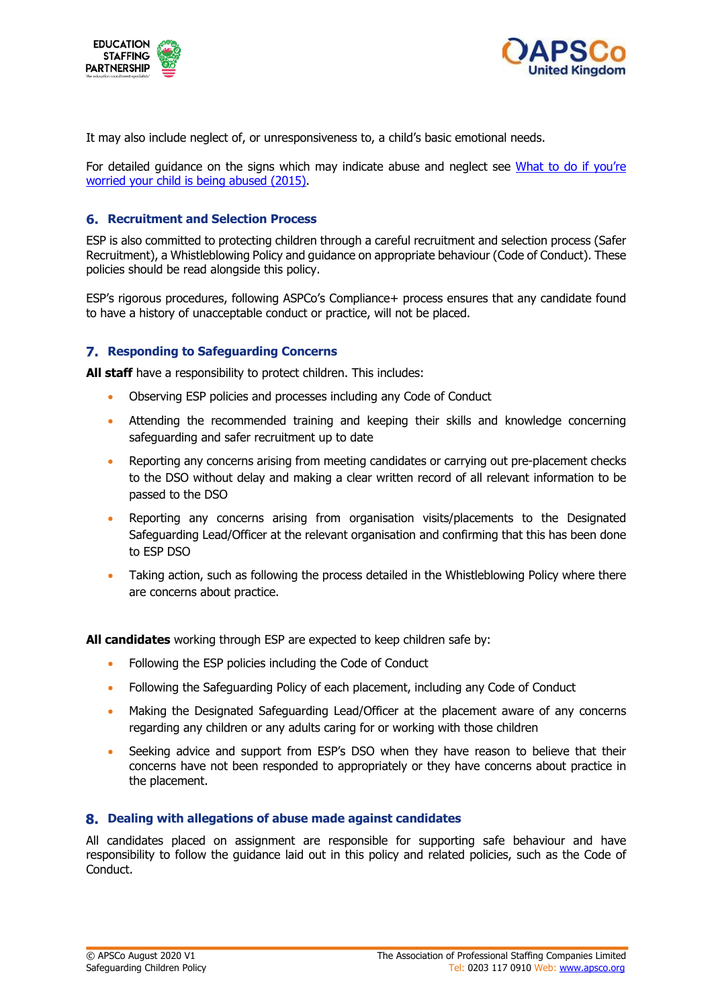



It may also include neglect of, or unresponsiveness to, a child's basic emotional needs.

For detailed guidance on the signs which may indicate abuse and neglect see What to do if you're worried your child is being abused (2015).

#### **Recruitment and Selection Process**

ESP is also committed to protecting children through a careful recruitment and selection process (Safer Recruitment), a Whistleblowing Policy and guidance on appropriate behaviour (Code of Conduct). These policies should be read alongside this policy.

ESP's rigorous procedures, following ASPCo's Compliance+ process ensures that any candidate found to have a history of unacceptable conduct or practice, will not be placed.

#### **Responding to Safeguarding Concerns**

**All staff** have a responsibility to protect children. This includes:

- Observing ESP policies and processes including any Code of Conduct
- Attending the recommended training and keeping their skills and knowledge concerning safeguarding and safer recruitment up to date
- Reporting any concerns arising from meeting candidates or carrying out pre-placement checks to the DSO without delay and making a clear written record of all relevant information to be passed to the DSO
- Reporting any concerns arising from organisation visits/placements to the Designated Safeguarding Lead/Officer at the relevant organisation and confirming that this has been done to ESP DSO
- Taking action, such as following the process detailed in the Whistleblowing Policy where there are concerns about practice.

**All candidates** working through ESP are expected to keep children safe by:

- Following the ESP policies including the Code of Conduct
- Following the Safeguarding Policy of each placement, including any Code of Conduct
- Making the Designated Safeguarding Lead/Officer at the placement aware of any concerns regarding any children or any adults caring for or working with those children
- Seeking advice and support from ESP's DSO when they have reason to believe that their concerns have not been responded to appropriately or they have concerns about practice in the placement.

#### **Dealing with allegations of abuse made against candidates**

All candidates placed on assignment are responsible for supporting safe behaviour and have responsibility to follow the guidance laid out in this policy and related policies, such as the Code of Conduct.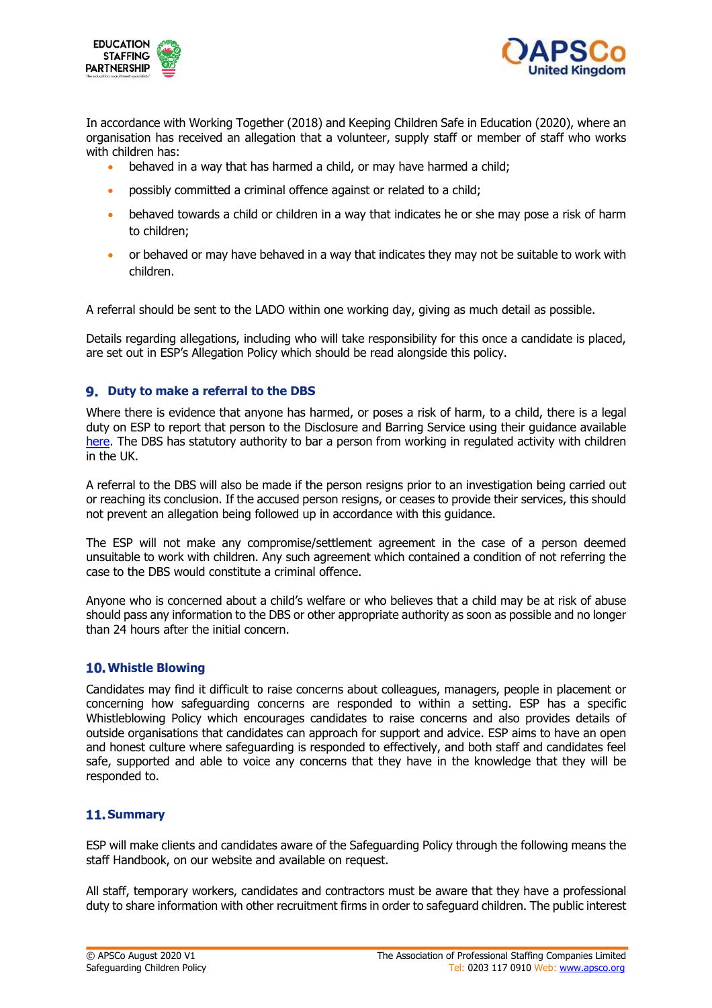



In accordance with Working Together (2018) and Keeping Children Safe in Education (2020), where an organisation has received an allegation that a volunteer, supply staff or member of staff who works with children has:

- behaved in a way that has harmed a child, or may have harmed a child;
- possibly committed a criminal offence against or related to a child;
- behaved towards a child or children in a way that indicates he or she may pose a risk of harm to children;
- or behaved or may have behaved in a way that indicates they may not be suitable to work with children.

A referral should be sent to the LADO within one working day, giving as much detail as possible.

Details regarding allegations, including who will take responsibility for this once a candidate is placed, are set out in ESP's Allegation Policy which should be read alongside this policy.

#### **Duty to make a referral to the DBS**

Where there is evidence that anyone has harmed, or poses a risk of harm, to a child, there is a legal duty on ESP to report that person to the Disclosure and Barring Service using their guidance available here. The DBS has statutory authority to bar a person from working in regulated activity with children in the UK.

A referral to the DBS will also be made if the person resigns prior to an investigation being carried out or reaching its conclusion. If the accused person resigns, or ceases to provide their services, this should not prevent an allegation being followed up in accordance with this guidance.

The ESP will not make any compromise/settlement agreement in the case of a person deemed unsuitable to work with children. Any such agreement which contained a condition of not referring the case to the DBS would constitute a criminal offence.

Anyone who is concerned about a child's welfare or who believes that a child may be at risk of abuse should pass any information to the DBS or other appropriate authority as soon as possible and no longer than 24 hours after the initial concern.

#### **Whistle Blowing**

Candidates may find it difficult to raise concerns about colleagues, managers, people in placement or concerning how safeguarding concerns are responded to within a setting. ESP has a specific Whistleblowing Policy which encourages candidates to raise concerns and also provides details of outside organisations that candidates can approach for support and advice. ESP aims to have an open and honest culture where safeguarding is responded to effectively, and both staff and candidates feel safe, supported and able to voice any concerns that they have in the knowledge that they will be responded to.

# **11. Summary**

ESP will make clients and candidates aware of the Safeguarding Policy through the following means the staff Handbook, on our website and available on request.

All staff, temporary workers, candidates and contractors must be aware that they have a professional duty to share information with other recruitment firms in order to safeguard children. The public interest